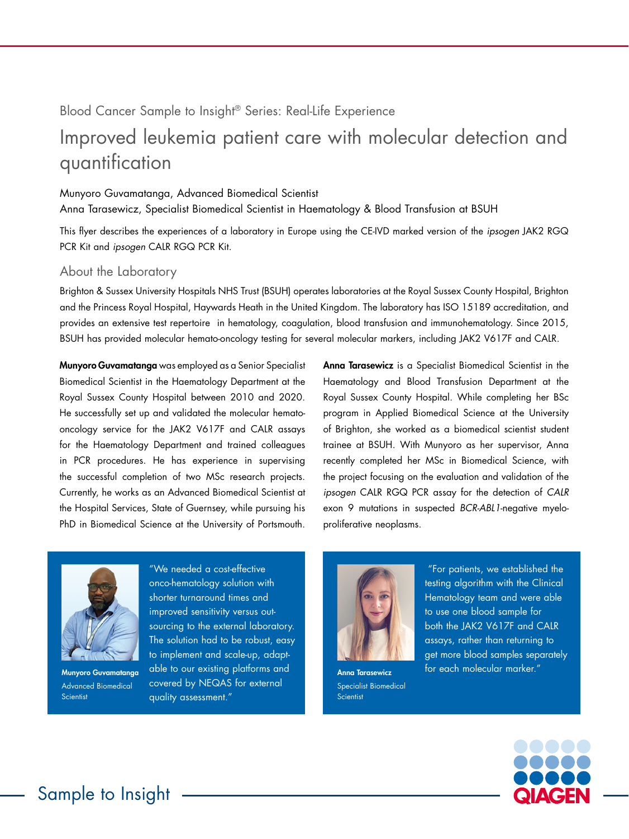# Blood Cancer Sample to Insight® Series: Real-Life Experience

# Improved leukemia patient care with molecular detection and quantification

#### Munyoro Guvamatanga, Advanced Biomedical Scientist

Anna Tarasewicz, Specialist Biomedical Scientist in Haematology & Blood Transfusion at BSUH

This flyer describes the experiences of a laboratory in Europe using the CE-IVD marked version of the *ipsogen* JAK2 RGQ PCR Kit and *ipsogen* CALR RGQ PCR Kit.

## About the Laboratory

Brighton & Sussex University Hospitals NHS Trust (BSUH) operates laboratories at the Royal Sussex County Hospital, Brighton and the Princess Royal Hospital, Haywards Heath in the United Kingdom. The laboratory has ISO 15189 accreditation, and provides an extensive test repertoire in hematology, coagulation, blood transfusion and immunohematology. Since 2015, BSUH has provided molecular hemato-oncology testing for several molecular markers, including JAK2 V617F and CALR.

Munyoro Guvamatanga was employed as a Senior Specialist Biomedical Scientist in the Haematology Department at the Royal Sussex County Hospital between 2010 and 2020. He successfully set up and validated the molecular hematooncology service for the JAK2 V617F and CALR assays for the Haematology Department and trained colleagues in PCR procedures. He has experience in supervising the successful completion of two MSc research projects. Currently, he works as an Advanced Biomedical Scientist at the Hospital Services, State of Guernsey, while pursuing his PhD in Biomedical Science at the University of Portsmouth.

Anna Tarasewicz is a Specialist Biomedical Scientist in the Haematology and Blood Transfusion Department at the Royal Sussex County Hospital. While completing her BSc program in Applied Biomedical Science at the University of Brighton, she worked as a biomedical scientist student trainee at BSUH. With Munyoro as her supervisor, Anna recently completed her MSc in Biomedical Science, with the project focusing on the evaluation and validation of the *ipsogen* CALR RGQ PCR assay for the detection of *CALR* exon 9 mutations in suspected *BCR-ABL1*-negative myeloproliferative neoplasms.



Munyoro Guvamatanga Advanced Biomedical **Scientist** 

"We needed a cost-effective onco-hematology solution with shorter turnaround times and improved sensitivity versus outsourcing to the external laboratory. The solution had to be robust, easy to implement and scale-up, adaptable to our existing platforms and covered by NEQAS for external quality assessment."



Specialist Biomedical Scientist

"For patients, we established the testing algorithm with the Clinical Hematology team and were able to use one blood sample for both the JAK2 V617F and CALR assays, rather than returning to get more blood samples separately Anna Tarasewicz **For each molecular marker.**"

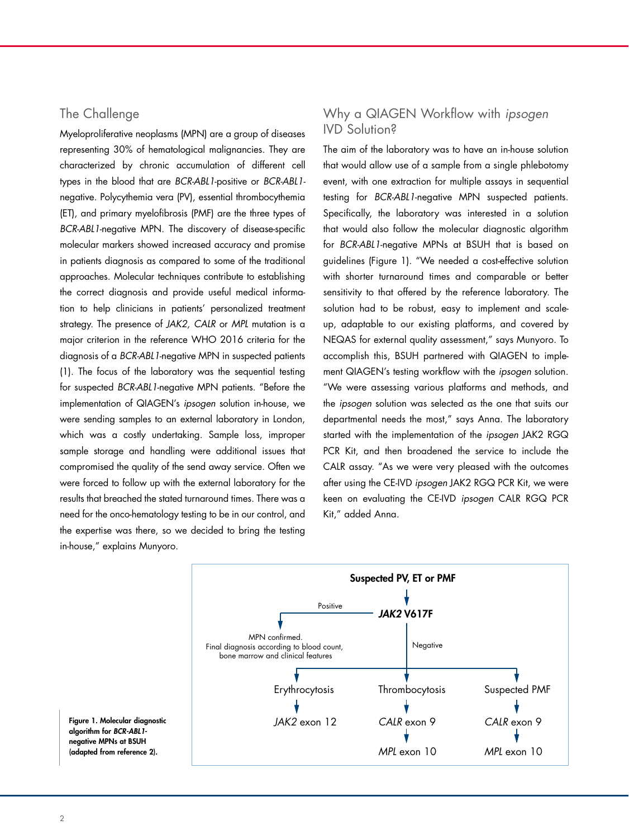## The Challenge

Myeloproliferative neoplasms (MPN) are a group of diseases representing 30% of hematological malignancies. They are characterized by chronic accumulation of different cell types in the blood that are *BCR-ABL1*-positive or *BCR-ABL1* negative. Polycythemia vera (PV), essential thrombocythemia (ET), and primary myelofibrosis (PMF) are the three types of *BCR-ABL1*-negative MPN. The discovery of disease-specific molecular markers showed increased accuracy and promise in patients diagnosis as compared to some of the traditional approaches. Molecular techniques contribute to establishing the correct diagnosis and provide useful medical information to help clinicians in patients' personalized treatment strategy. The presence of *JAK2, CALR* or *MPL* mutation is a major criterion in the reference WHO 2016 criteria for the diagnosis of a *BCR-ABL1*-negative MPN in suspected patients (1). The focus of the laboratory was the sequential testing for suspected *BCR-ABL1*-negative MPN patients. "Before the implementation of QIAGEN's *ipsogen* solution in-house, we were sending samples to an external laboratory in London, which was a costly undertaking. Sample loss, improper sample storage and handling were additional issues that compromised the quality of the send away service. Often we were forced to follow up with the external laboratory for the results that breached the stated turnaround times. There was a need for the onco-hematology testing to be in our control, and the expertise was there, so we decided to bring the testing in-house," explains Munyoro.

# Why a QIAGEN Workflow with *ipsogen* IVD Solution?

The aim of the laboratory was to have an in-house solution that would allow use of a sample from a single phlebotomy event, with one extraction for multiple assays in sequential testing for *BCR-ABL1*-negative MPN suspected patients. Specifically, the laboratory was interested in a solution that would also follow the molecular diagnostic algorithm for *BCR-ABL1*-negative MPNs at BSUH that is based on guidelines (Figure 1). "We needed a cost-effective solution with shorter turnaround times and comparable or better sensitivity to that offered by the reference laboratory. The solution had to be robust, easy to implement and scaleup, adaptable to our existing platforms, and covered by NEQAS for external quality assessment," says Munyoro. To accomplish this, BSUH partnered with QIAGEN to implement QIAGEN's testing workflow with the *ipsogen* solution. "We were assessing various platforms and methods, and the *ipsogen* solution was selected as the one that suits our departmental needs the most," says Anna. The laboratory started with the implementation of the *ipsogen* JAK2 RGQ PCR Kit, and then broadened the service to include the CALR assay. "As we were very pleased with the outcomes after using the CE-IVD *ipsogen* JAK2 RGQ PCR Kit, we were keen on evaluating the CE-IVD *ipsogen* CALR RGQ PCR Kit," added Anna.



Figure 1. Molecular diagnostic algorithm for *BCR-ABL1* negative MPNs at BSUH (adapted from reference 2).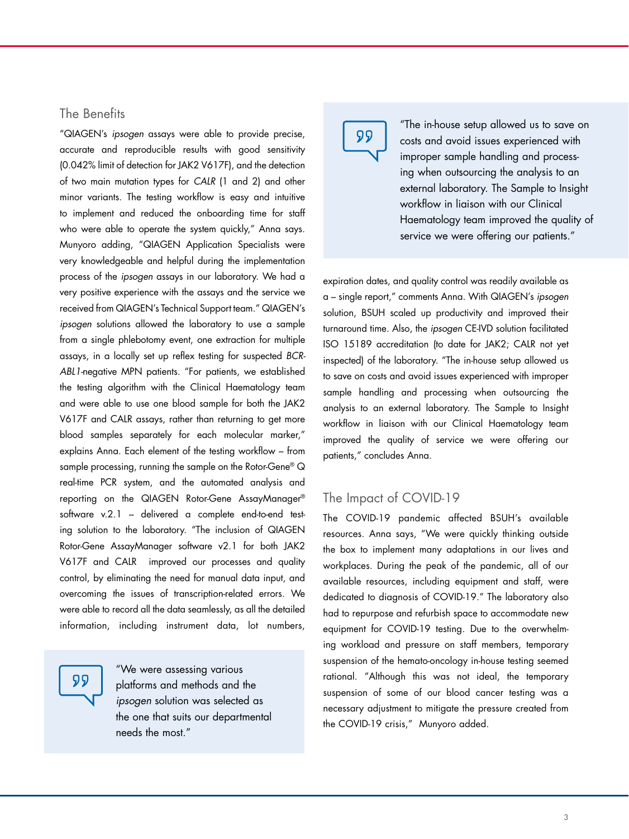## The Benefits

"QIAGEN's *ipsogen* assays were able to provide precise, accurate and reproducible results with good sensitivity (0.042% limit of detection for JAK2 V617F), and the detection of two main mutation types for *CALR* (1 and 2) and other minor variants. The testing workflow is easy and intuitive to implement and reduced the onboarding time for staff who were able to operate the system quickly," Anna says. Munyoro adding, "QIAGEN Application Specialists were very knowledgeable and helpful during the implementation process of the *ipsogen* assays in our laboratory. We had a very positive experience with the assays and the service we received from QIAGEN's Technical Support team." QIAGEN's *ipsogen* solutions allowed the laboratory to use a sample from a single phlebotomy event, one extraction for multiple assays, in a locally set up reflex testing for suspected *BCR-ABL1-*negative MPN patients. "For patients, we established the testing algorithm with the Clinical Haematology team and were able to use one blood sample for both the JAK2 V617F and CALR assays, rather than returning to get more blood samples separately for each molecular marker," explains Anna. Each element of the testing workflow – from sample processing, running the sample on the Rotor-Gene® Q real-time PCR system, and the automated analysis and reporting on the QIAGEN Rotor-Gene AssayManager® software v.2.1 – delivered a complete end-to-end testing solution to the laboratory. "The inclusion of QIAGEN Rotor-Gene AssayManager software v2.1 for both JAK2 V617F and CALR improved our processes and quality control, by eliminating the need for manual data input, and overcoming the issues of transcription-related errors. We were able to record all the data seamlessly, as all the detailed information, including instrument data, lot numbers,

99

"We were assessing various platforms and methods and the *ipsogen* solution was selected as the one that suits our departmental needs the most."



"The in-house setup allowed us to save on costs and avoid issues experienced with improper sample handling and processing when outsourcing the analysis to an external laboratory. The Sample to Insight workflow in liaison with our Clinical Haematology team improved the quality of service we were offering our patients."

expiration dates, and quality control was readily available as a – single report," comments Anna. With QIAGEN's *ipsogen* solution, BSUH scaled up productivity and improved their turnaround time. Also, the *ipsogen* CE-IVD solution facilitated ISO 15189 accreditation (to date for JAK2; CALR not yet inspected) of the laboratory. "The in-house setup allowed us to save on costs and avoid issues experienced with improper sample handling and processing when outsourcing the analysis to an external laboratory. The Sample to Insight workflow in liaison with our Clinical Haematology team improved the quality of service we were offering our patients," concludes Anna.

## The Impact of COVID-19

The COVID-19 pandemic affected BSUH's available resources. Anna says, "We were quickly thinking outside the box to implement many adaptations in our lives and workplaces. During the peak of the pandemic, all of our available resources, including equipment and staff, were dedicated to diagnosis of COVID-19." The laboratory also had to repurpose and refurbish space to accommodate new equipment for COVID-19 testing. Due to the overwhelming workload and pressure on staff members, temporary suspension of the hemato-oncology in-house testing seemed rational. "Although this was not ideal, the temporary suspension of some of our blood cancer testing was a necessary adjustment to mitigate the pressure created from the COVID-19 crisis," Munyoro added.